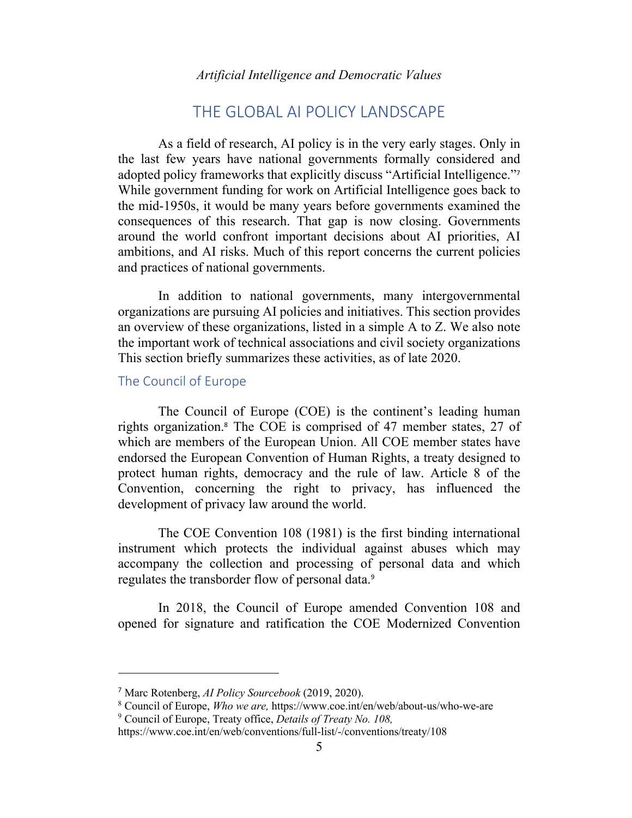# THE GLOBAL AI POLICY LANDSCAPE

As a field of research, AI policy is in the very early stages. Only in the last few years have national governments formally considered and adopted policy frameworks that explicitly discuss "Artificial Intelligence."<sup>7</sup> While government funding for work on Artificial Intelligence goes back to the mid-1950s, it would be many years before governments examined the consequences of this research. That gap is now closing. Governments around the world confront important decisions about AI priorities, AI ambitions, and AI risks. Much of this report concerns the current policies and practices of national governments.

In addition to national governments, many intergovernmental organizations are pursuing AI policies and initiatives. This section provides an overview of these organizations, listed in a simple A to Z. We also note the important work of technical associations and civil society organizations This section briefly summarizes these activities, as of late 2020.

#### The Council of Europe

The Council of Europe (COE) is the continent's leading human rights organization.<sup>8</sup> The COE is comprised of 47 member states, 27 of which are members of the European Union. All COE member states have endorsed the European Convention of Human Rights, a treaty designed to protect human rights, democracy and the rule of law. Article 8 of the Convention, concerning the right to privacy, has influenced the development of privacy law around the world.

The COE Convention 108 (1981) is the first binding international instrument which protects the individual against abuses which may accompany the collection and processing of personal data and which regulates the transborder flow of personal data.<sup>9</sup>

In 2018, the Council of Europe amended Convention 108 and opened for signature and ratification the COE Modernized Convention

<sup>7</sup> Marc Rotenberg, *AI Policy Sourcebook* (2019, 2020).

<sup>8</sup> Council of Europe, *Who we are,* https://www.coe.int/en/web/about-us/who-we-are

<sup>9</sup> Council of Europe, Treaty office, *Details of Treaty No. 108,*

https://www.coe.int/en/web/conventions/full-list/-/conventions/treaty/108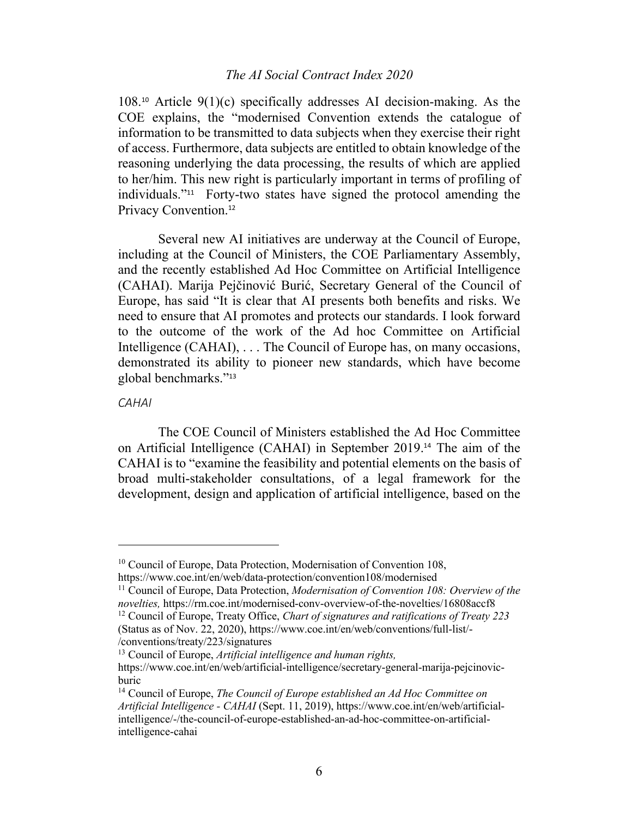$108<sup>10</sup>$  Article  $9(1)(c)$  specifically addresses AI decision-making. As the COE explains, the "modernised Convention extends the catalogue of information to be transmitted to data subjects when they exercise their right of access. Furthermore, data subjects are entitled to obtain knowledge of the reasoning underlying the data processing, the results of which are applied to her/him. This new right is particularly important in terms of profiling of individuals."11 Forty-two states have signed the protocol amending the Privacy Convention.<sup>12</sup>

Several new AI initiatives are underway at the Council of Europe, including at the Council of Ministers, the COE Parliamentary Assembly, and the recently established Ad Hoc Committee on Artificial Intelligence (CAHAI). Marija Pejčinović Burić, Secretary General of the Council of Europe, has said "It is clear that AI presents both benefits and risks. We need to ensure that AI promotes and protects our standards. I look forward to the outcome of the work of the Ad hoc Committee on Artificial Intelligence (CAHAI), ... The Council of Europe has, on many occasions, demonstrated its ability to pioneer new standards, which have become global benchmarks."<sup>13</sup>

#### *CAHAI*

The COE Council of Ministers established the Ad Hoc Committee on Artificial Intelligence (CAHAI) in September 2019. <sup>14</sup> The aim of the CAHAI is to "examine the feasibility and potential elements on the basis of broad multi-stakeholder consultations, of a legal framework for the development, design and application of artificial intelligence, based on the

<sup>&</sup>lt;sup>10</sup> Council of Europe, Data Protection, Modernisation of Convention 108, https://www.coe.int/en/web/data-protection/convention108/modernised

<sup>11</sup> Council of Europe, Data Protection, *Modernisation of Convention 108: Overview of the novelties,* https://rm.coe.int/modernised-conv-overview-of-the-novelties/16808accf8

<sup>12</sup> Council of Europe, Treaty Office, *Chart of signatures and ratifications of Treaty 223* (Status as of Nov. 22, 2020), https://www.coe.int/en/web/conventions/full-list/- /conventions/treaty/223/signatures

<sup>13</sup> Council of Europe, *Artificial intelligence and human rights,*

https://www.coe.int/en/web/artificial-intelligence/secretary-general-marija-pejcinovicburic

<sup>14</sup> Council of Europe, *The Council of Europe established an Ad Hoc Committee on Artificial Intelligence - CAHAI* (Sept. 11, 2019), https://www.coe.int/en/web/artificialintelligence/-/the-council-of-europe-established-an-ad-hoc-committee-on-artificialintelligence-cahai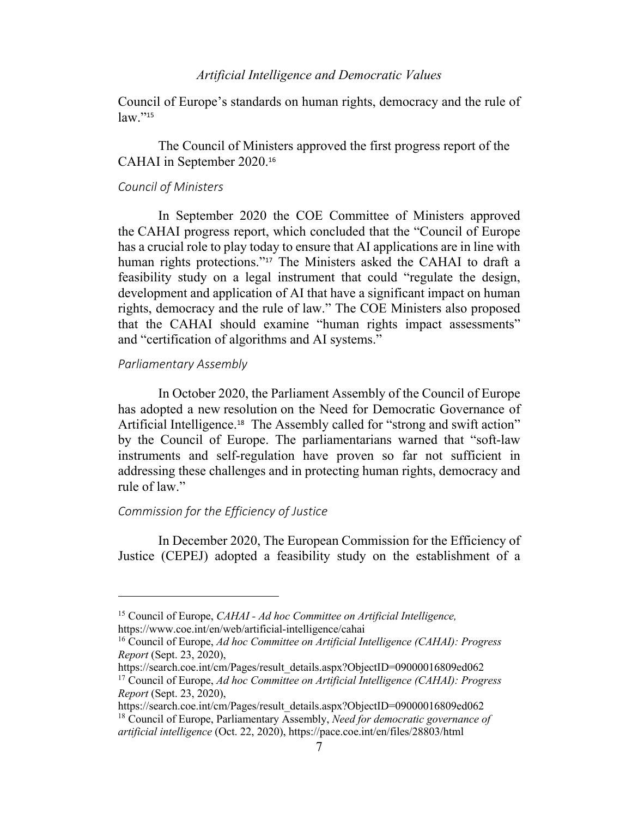Council of Europe's standards on human rights, democracy and the rule of  $law.$ "<sup>15</sup>

The Council of Ministers approved the first progress report of the CAHAI in September 2020.<sup>16</sup>

#### *Council of Ministers*

In September 2020 the COE Committee of Ministers approved the CAHAI progress report, which concluded that the "Council of Europe has a crucial role to play today to ensure that AI applications are in line with human rights protections."<sup>17</sup> The Ministers asked the CAHAI to draft a feasibility study on a legal instrument that could "regulate the design, development and application of AI that have a significant impact on human rights, democracy and the rule of law." The COE Ministers also proposed that the CAHAI should examine "human rights impact assessments" and "certification of algorithms and AI systems."

### *Parliamentary Assembly*

In October 2020, the Parliament Assembly of the Council of Europe has adopted a new resolution on the Need for Democratic Governance of Artificial Intelligence.<sup>18</sup> The Assembly called for "strong and swift action" by the Council of Europe. The parliamentarians warned that "soft-law instruments and self-regulation have proven so far not sufficient in addressing these challenges and in protecting human rights, democracy and rule of law."

### *Commission for the Efficiency of Justice*

In December 2020, The European Commission for the Efficiency of Justice (CEPEJ) adopted a feasibility study on the establishment of a

https://search.coe.int/cm/Pages/result\_details.aspx?ObjectID=09000016809ed062

<sup>15</sup> Council of Europe, *CAHAI - Ad hoc Committee on Artificial Intelligence,* https://www.coe.int/en/web/artificial-intelligence/cahai

<sup>16</sup> Council of Europe, *Ad hoc Committee on Artificial Intelligence (CAHAI): Progress Report* (Sept. 23, 2020),

https://search.coe.int/cm/Pages/result\_details.aspx?ObjectID=09000016809ed062 <sup>17</sup> Council of Europe, *Ad hoc Committee on Artificial Intelligence (CAHAI): Progress Report* (Sept. 23, 2020),

<sup>18</sup> Council of Europe, Parliamentary Assembly, *Need for democratic governance of artificial intelligence* (Oct. 22, 2020), https://pace.coe.int/en/files/28803/html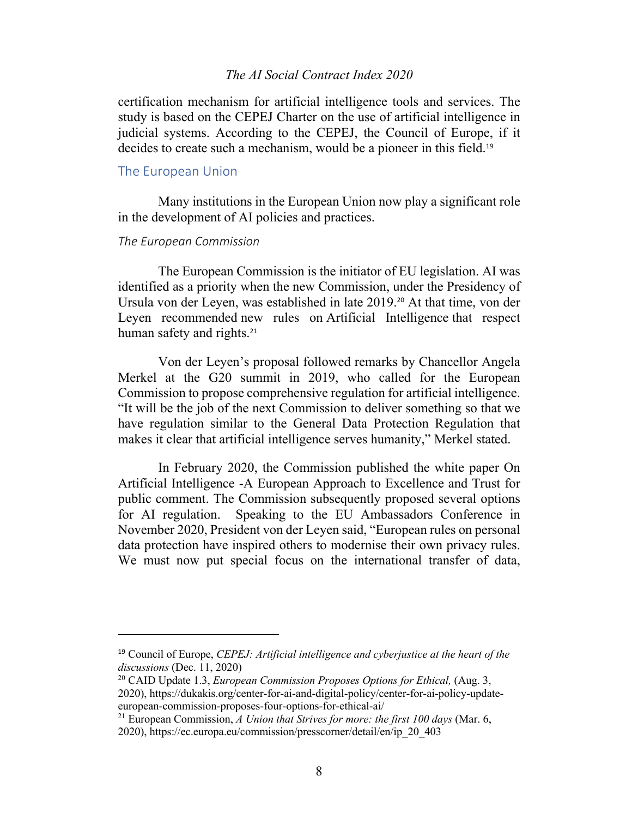certification mechanism for artificial intelligence tools and services. The study is based on the CEPEJ Charter on the use of artificial intelligence in judicial systems. According to the CEPEJ, the Council of Europe, if it decides to create such a mechanism, would be a pioneer in this field.<sup>19</sup>

### The European Union

Many institutions in the European Union now play a significant role in the development of AI policies and practices.

#### *The European Commission*

The European Commission is the initiator of EU legislation. AI was identified as a priority when the new Commission, under the Presidency of Ursula von der Leyen, was established in late 2019.<sup>20</sup> At that time, von der Leyen recommended new rules on Artificial Intelligence that respect human safety and rights.<sup>21</sup>

Von der Leyen's proposal followed remarks by Chancellor Angela Merkel at the G20 summit in 2019, who called for the European Commission to propose comprehensive regulation for artificial intelligence. "It will be the job of the next Commission to deliver something so that we have regulation similar to the General Data Protection Regulation that makes it clear that artificial intelligence serves humanity," Merkel stated.

In February 2020, the Commission published the white paper On Artificial Intelligence -A European Approach to Excellence and Trust for public comment. The Commission subsequently proposed several options for AI regulation. Speaking to the EU Ambassadors Conference in November 2020, President von der Leyen said, "European rules on personal data protection have inspired others to modernise their own privacy rules. We must now put special focus on the international transfer of data,

<sup>19</sup> Council of Europe, *CEPEJ: Artificial intelligence and cyberjustice at the heart of the discussions* (Dec. 11, 2020)

<sup>20</sup> CAID Update 1.3, *European Commission Proposes Options for Ethical,* (Aug. 3, 2020), https://dukakis.org/center-for-ai-and-digital-policy/center-for-ai-policy-updateeuropean-commission-proposes-four-options-for-ethical-ai/

<sup>21</sup> European Commission, *A Union that Strives for more: the first 100 days* (Mar. 6, 2020), https://ec.europa.eu/commission/presscorner/detail/en/ip\_20\_403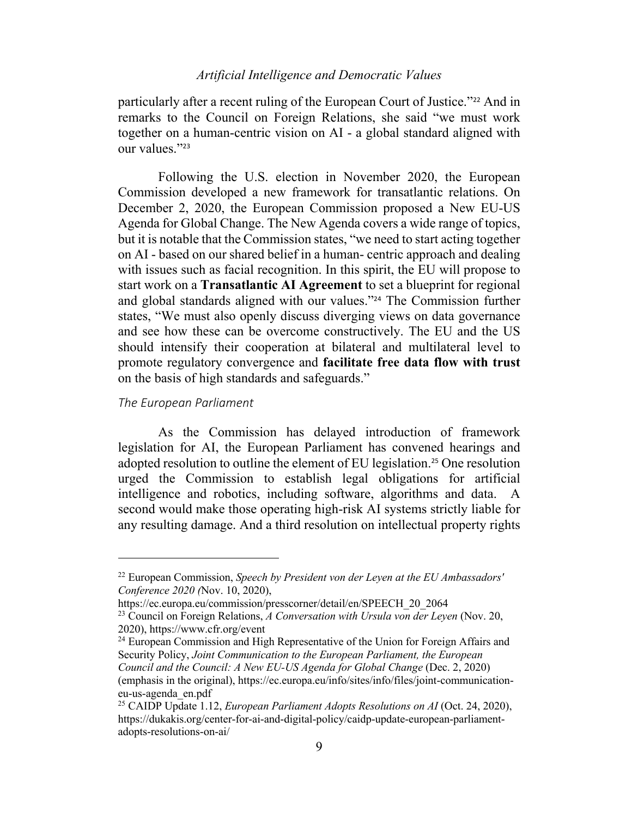particularly after a recent ruling of the European Court of Justice."<sup>22</sup> And in remarks to the Council on Foreign Relations, she said "we must work together on a human-centric vision on AI - a global standard aligned with our values."<sup>23</sup>

Following the U.S. election in November 2020, the European Commission developed a new framework for transatlantic relations. On December 2, 2020, the European Commission proposed a New EU-US Agenda for Global Change. The New Agenda covers a wide range of topics, but it is notable that the Commission states, "we need to start acting together on AI - based on our shared belief in a human- centric approach and dealing with issues such as facial recognition. In this spirit, the EU will propose to start work on a **Transatlantic AI Agreement** to set a blueprint for regional and global standards aligned with our values."<sup>24</sup> The Commission further states, "We must also openly discuss diverging views on data governance and see how these can be overcome constructively. The EU and the US should intensify their cooperation at bilateral and multilateral level to promote regulatory convergence and **facilitate free data flow with trust** on the basis of high standards and safeguards."

#### *The European Parliament*

As the Commission has delayed introduction of framework legislation for AI, the European Parliament has convened hearings and adopted resolution to outline the element of EU legislation. <sup>25</sup> One resolution urged the Commission to establish legal obligations for artificial intelligence and robotics, including software, algorithms and data. A second would make those operating high-risk AI systems strictly liable for any resulting damage. And a third resolution on intellectual property rights

<sup>24</sup> European Commission and High Representative of the Union for Foreign Affairs and Security Policy, *Joint Communication to the European Parliament, the European Council and the Council: A New EU-US Agenda for Global Change (Dec. 2, 2020)* (emphasis in the original), https://ec.europa.eu/info/sites/info/files/joint-communicationeu-us-agenda\_en.pdf

<sup>22</sup> European Commission, *Speech by President von der Leyen at the EU Ambassadors' Conference 2020 (*Nov. 10, 2020),

https://ec.europa.eu/commission/presscorner/detail/en/SPEECH\_20\_2064

<sup>23</sup> Council on Foreign Relations, *A Conversation with Ursula von der Leyen* (Nov. 20, 2020), https://www.cfr.org/event

<sup>25</sup> CAIDP Update 1.12, *European Parliament Adopts Resolutions on AI* (Oct. 24, 2020), https://dukakis.org/center-for-ai-and-digital-policy/caidp-update-european-parliamentadopts-resolutions-on-ai/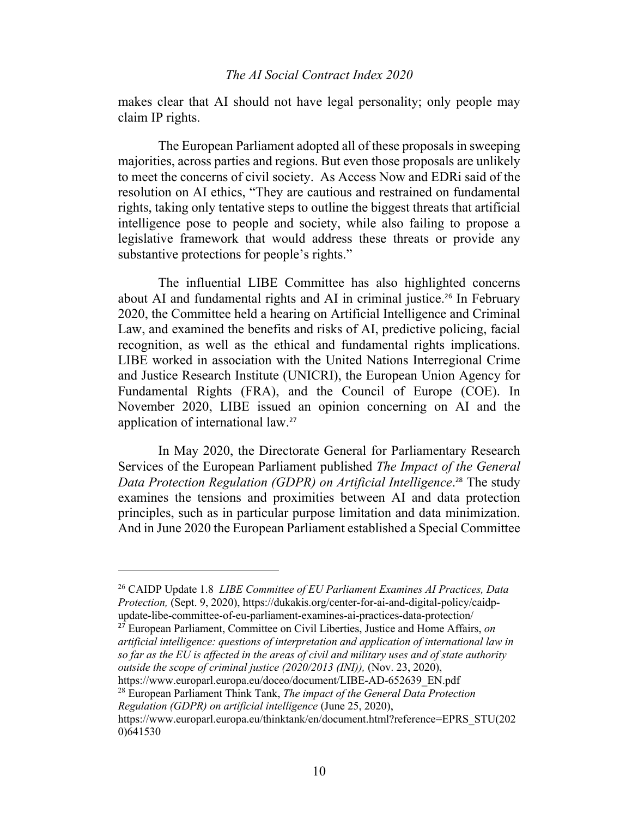makes clear that AI should not have legal personality; only people may claim IP rights.

The European Parliament adopted all of these proposals in sweeping majorities, across parties and regions. But even those proposals are unlikely to meet the concerns of civil society. As Access Now and EDRi said of the resolution on AI ethics, "They are cautious and restrained on fundamental rights, taking only tentative steps to outline the biggest threats that artificial intelligence pose to people and society, while also failing to propose a legislative framework that would address these threats or provide any substantive protections for people's rights."

The influential LIBE Committee has also highlighted concerns about AI and fundamental rights and AI in criminal justice.<sup>26</sup> In February 2020, the Committee held a hearing on Artificial Intelligence and Criminal Law, and examined the benefits and risks of AI, predictive policing, facial recognition, as well as the ethical and fundamental rights implications. LIBE worked in association with the United Nations Interregional Crime and Justice Research Institute (UNICRI), the European Union Agency for Fundamental Rights (FRA), and the Council of Europe (COE). In November 2020, LIBE issued an opinion concerning on AI and the application of international law.<sup>27</sup>

In May 2020, the Directorate General for Parliamentary Research Services of the European Parliament published *The Impact of the General Data Protection Regulation (GDPR) on Artificial Intelligence*. <sup>28</sup> The study examines the tensions and proximities between AI and data protection principles, such as in particular purpose limitation and data minimization. And in June 2020 the European Parliament established a Special Committee

<sup>27</sup> European Parliament, Committee on Civil Liberties, Justice and Home Affairs, *on artificial intelligence: questions of interpretation and application of international law in so far as the EU is affected in the areas of civil and military uses and of state authority outside the scope of criminal justice (2020/2013 (INI)),* (Nov. 23, 2020),

https://www.europarl.europa.eu/doceo/document/LIBE-AD-652639\_EN.pdf

<sup>28</sup> European Parliament Think Tank, *The impact of the General Data Protection Regulation (GDPR) on artificial intelligence* (June 25, 2020),

<sup>26</sup> CAIDP Update 1.8 *LIBE Committee of EU Parliament Examines AI Practices, Data Protection,* (Sept. 9, 2020), https://dukakis.org/center-for-ai-and-digital-policy/caidpupdate-libe-committee-of-eu-parliament-examines-ai-practices-data-protection/

https://www.europarl.europa.eu/thinktank/en/document.html?reference=EPRS\_STU(202 0)641530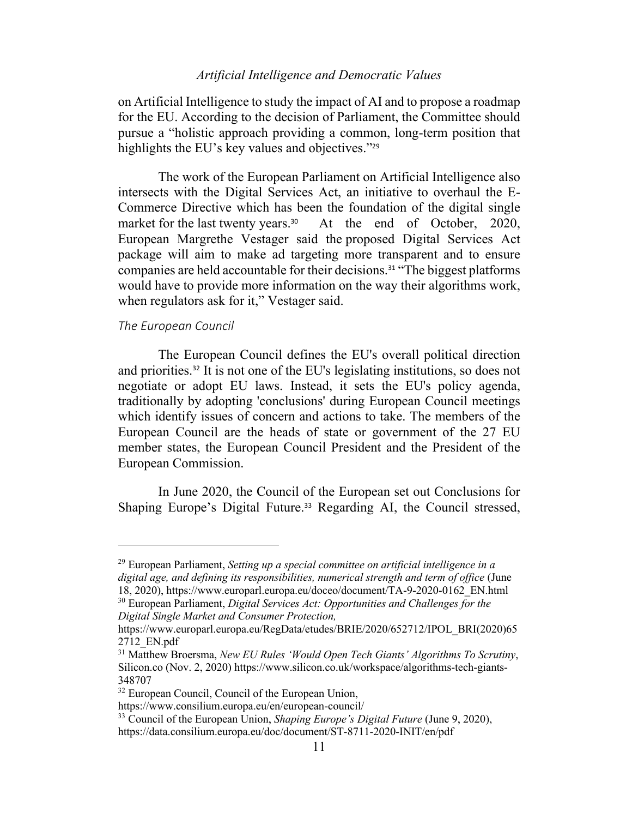on Artificial Intelligence to study the impact of AI and to propose a roadmap for the EU. According to the decision of Parliament, the Committee should pursue a "holistic approach providing a common, long-term position that highlights the EU's key values and objectives."<sup>29</sup>

The work of the European Parliament on Artificial Intelligence also intersects with the Digital Services Act, an initiative to overhaul the E-Commerce Directive which has been the foundation of the digital single market for the last twenty years.<sup>30</sup> At the end of October, 2020, European Margrethe Vestager said the proposed Digital Services Act package will aim to make ad targeting more transparent and to ensure companies are held accountable for their decisions.<sup>31</sup> "The biggest platforms would have to provide more information on the way their algorithms work, when regulators ask for it," Vestager said.

### *The European Council*

The European Council defines the EU's overall political direction and priorities.<sup>32</sup> It is not one of the EU's legislating institutions, so does not negotiate or adopt EU laws. Instead, it sets the EU's policy agenda, traditionally by adopting 'conclusions' during European Council meetings which identify issues of concern and actions to take. The members of the European Council are the heads of state or government of the 27 EU member states, the European Council President and the President of the European Commission.

In June 2020, the Council of the European set out Conclusions for Shaping Europe's Digital Future.<sup>33</sup> Regarding AI, the Council stressed,

<sup>29</sup> European Parliament, *Setting up a special committee on artificial intelligence in a digital age, and defining its responsibilities, numerical strength and term of office* (June 18, 2020), https://www.europarl.europa.eu/doceo/document/TA-9-2020-0162\_EN.html

<sup>30</sup> European Parliament, *Digital Services Act: Opportunities and Challenges for the Digital Single Market and Consumer Protection,*

https://www.europarl.europa.eu/RegData/etudes/BRIE/2020/652712/IPOL\_BRI(2020)65 2712\_EN.pdf

<sup>31</sup> Matthew Broersma, *New EU Rules 'Would Open Tech Giants' Algorithms To Scrutiny*, Silicon.co (Nov. 2, 2020) https://www.silicon.co.uk/workspace/algorithms-tech-giants-348707

<sup>&</sup>lt;sup>32</sup> European Council, Council of the European Union,

https://www.consilium.europa.eu/en/european-council/

<sup>33</sup> Council of the European Union, *Shaping Europe's Digital Future* (June 9, 2020), https://data.consilium.europa.eu/doc/document/ST-8711-2020-INIT/en/pdf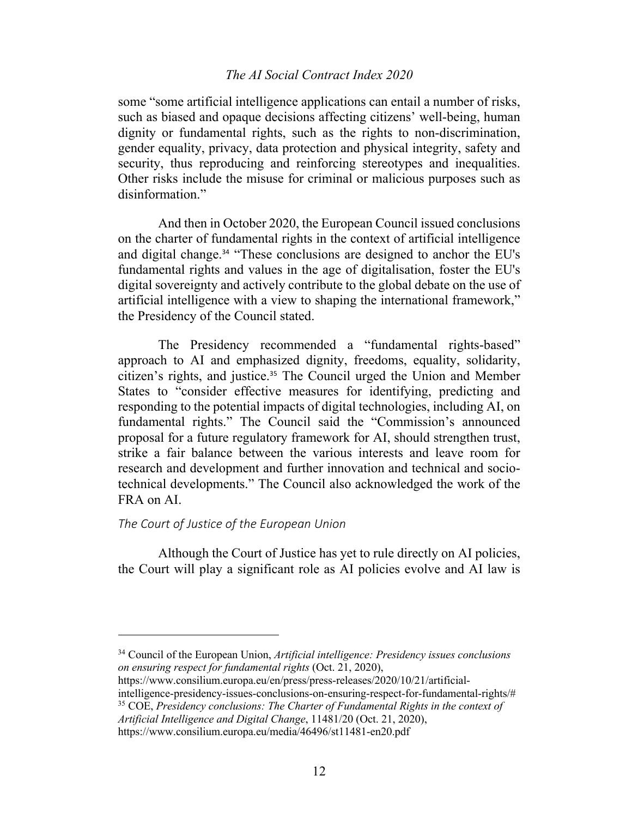some "some artificial intelligence applications can entail a number of risks, such as biased and opaque decisions affecting citizens' well-being, human dignity or fundamental rights, such as the rights to non-discrimination, gender equality, privacy, data protection and physical integrity, safety and security, thus reproducing and reinforcing stereotypes and inequalities. Other risks include the misuse for criminal or malicious purposes such as disinformation."

And then in October 2020, the European Council issued conclusions on the charter of fundamental rights in the context of artificial intelligence and digital change. <sup>34</sup> "These conclusions are designed to anchor the EU's fundamental rights and values in the age of digitalisation, foster the EU's digital sovereignty and actively contribute to the global debate on the use of artificial intelligence with a view to shaping the international framework," the Presidency of the Council stated.

The Presidency recommended a "fundamental rights-based" approach to AI and emphasized dignity, freedoms, equality, solidarity, citizen's rights, and justice.<sup>35</sup> The Council urged the Union and Member States to "consider effective measures for identifying, predicting and responding to the potential impacts of digital technologies, including AI, on fundamental rights." The Council said the "Commission's announced proposal for a future regulatory framework for AI, should strengthen trust, strike a fair balance between the various interests and leave room for research and development and further innovation and technical and sociotechnical developments." The Council also acknowledged the work of the FRA on AI.

### *The Court of Justice of the European Union*

Although the Court of Justice has yet to rule directly on AI policies, the Court will play a significant role as AI policies evolve and AI law is

<sup>35</sup> COE, *Presidency conclusions: The Charter of Fundamental Rights in the context of Artificial Intelligence and Digital Change*, 11481/20 (Oct. 21, 2020),

<sup>34</sup> Council of the European Union, *Artificial intelligence: Presidency issues conclusions on ensuring respect for fundamental rights* (Oct. 21, 2020),

https://www.consilium.europa.eu/en/press/press-releases/2020/10/21/artificialintelligence-presidency-issues-conclusions-on-ensuring-respect-for-fundamental-rights/#

https://www.consilium.europa.eu/media/46496/st11481-en20.pdf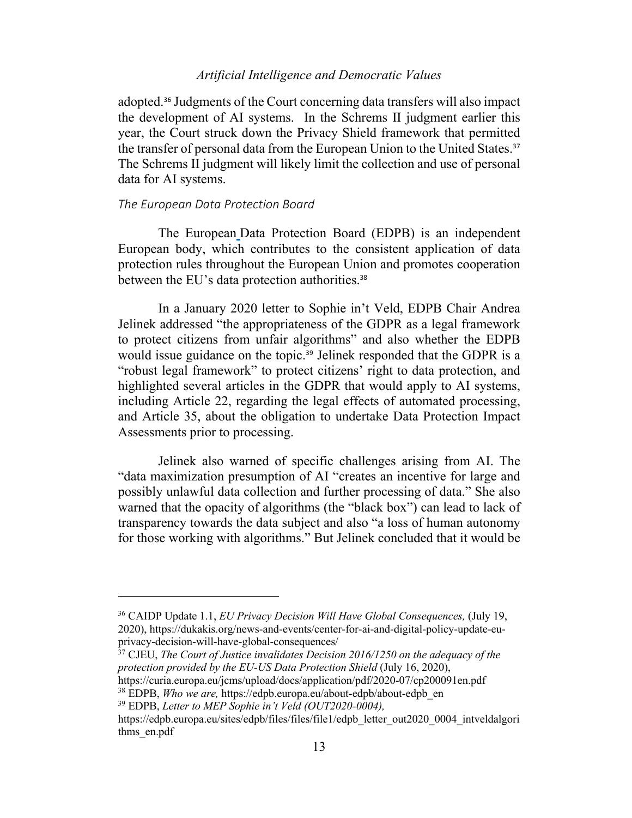adopted.<sup>36</sup> Judgments of the Court concerning data transfers will also impact the development of AI systems. In the Schrems II judgment earlier this year, the Court struck down the Privacy Shield framework that permitted the transfer of personal data from the European Union to the United States. 37 The Schrems II judgment will likely limit the collection and use of personal data for AI systems.

### *The European Data Protection Board*

The European Data Protection Board (EDPB) is an independent European body, which contributes to the consistent application of data protection rules throughout the European Union and promotes cooperation between the EU's data protection authorities.<sup>38</sup>

In a January 2020 letter to Sophie in't Veld, EDPB Chair Andrea Jelinek addressed "the appropriateness of the GDPR as a legal framework to protect citizens from unfair algorithms" and also whether the EDPB would issue guidance on the topic.<sup>39</sup> Jelinek responded that the GDPR is a "robust legal framework" to protect citizens' right to data protection, and highlighted several articles in the GDPR that would apply to AI systems, including Article 22, regarding the legal effects of automated processing, and Article 35, about the obligation to undertake Data Protection Impact Assessments prior to processing.

Jelinek also warned of specific challenges arising from AI. The "data maximization presumption of AI "creates an incentive for large and possibly unlawful data collection and further processing of data." She also warned that the opacity of algorithms (the "black box") can lead to lack of transparency towards the data subject and also "a loss of human autonomy for those working with algorithms." But Jelinek concluded that it would be

<sup>36</sup> CAIDP Update 1.1, *EU Privacy Decision Will Have Global Consequences,* (July 19, 2020), https://dukakis.org/news-and-events/center-for-ai-and-digital-policy-update-euprivacy-decision-will-have-global-consequences/

<sup>&</sup>lt;sup>37</sup> CJEU, *The Court of Justice invalidates Decision 2016/1250 on the adequacy of the protection provided by the EU-US Data Protection Shield* (July 16, 2020),

https://curia.europa.eu/jcms/upload/docs/application/pdf/2020-07/cp200091en.pdf

<sup>38</sup> EDPB, *Who we are,* https://edpb.europa.eu/about-edpb/about-edpb\_en

<sup>39</sup> EDPB, *Letter to MEP Sophie in't Veld (OUT2020-0004),* 

https://edpb.europa.eu/sites/edpb/files/files/file1/edpb\_letter\_out2020\_0004\_intveldalgori thms\_en.pdf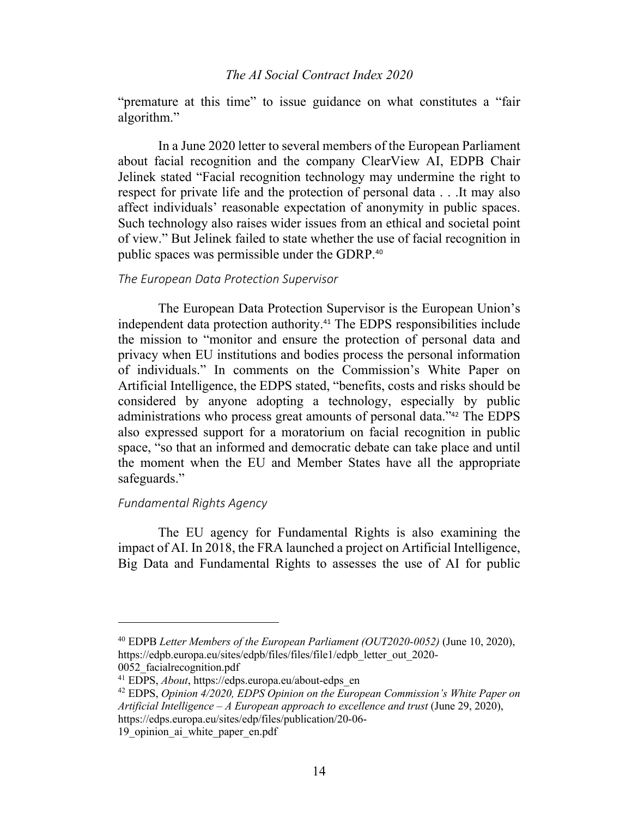"premature at this time" to issue guidance on what constitutes a "fair algorithm."

In a June 2020 letter to several members of the European Parliament about facial recognition and the company ClearView AI, EDPB Chair Jelinek stated "Facial recognition technology may undermine the right to respect for private life and the protection of personal data . . .It may also affect individuals' reasonable expectation of anonymity in public spaces. Such technology also raises wider issues from an ethical and societal point of view." But Jelinek failed to state whether the use of facial recognition in public spaces was permissible under the GDRP.<sup>40</sup>

#### *The European Data Protection Supervisor*

The European Data Protection Supervisor is the European Union's independent data protection authority.<sup>41</sup> The EDPS responsibilities include the mission to "monitor and ensure the protection of personal data and privacy when EU institutions and bodies process the personal information of individuals." In comments on the Commission's White Paper on Artificial Intelligence, the EDPS stated, "benefits, costs and risks should be considered by anyone adopting a technology, especially by public administrations who process great amounts of personal data."<sup>42</sup> The EDPS also expressed support for a moratorium on facial recognition in public space, "so that an informed and democratic debate can take place and until the moment when the EU and Member States have all the appropriate safeguards."

#### *Fundamental Rights Agency*

The EU agency for Fundamental Rights is also examining the impact of AI. In 2018, the FRA launched a project on Artificial Intelligence, Big Data and Fundamental Rights to assesses the use of AI for public

<sup>40</sup> EDPB *Letter Members of the European Parliament (OUT2020-0052)* (June 10, 2020), https://edpb.europa.eu/sites/edpb/files/files/file1/edpb\_letter\_out\_2020- 0052\_facialrecognition.pdf

<sup>41</sup> EDPS, *About*, https://edps.europa.eu/about-edps\_en

<sup>42</sup> EDPS, *Opinion 4/2020, EDPS Opinion on the European Commission's White Paper on Artificial Intelligence – A European approach to excellence and trust* (June 29, 2020), https://edps.europa.eu/sites/edp/files/publication/20-06-

<sup>19</sup> opinion ai white paper en.pdf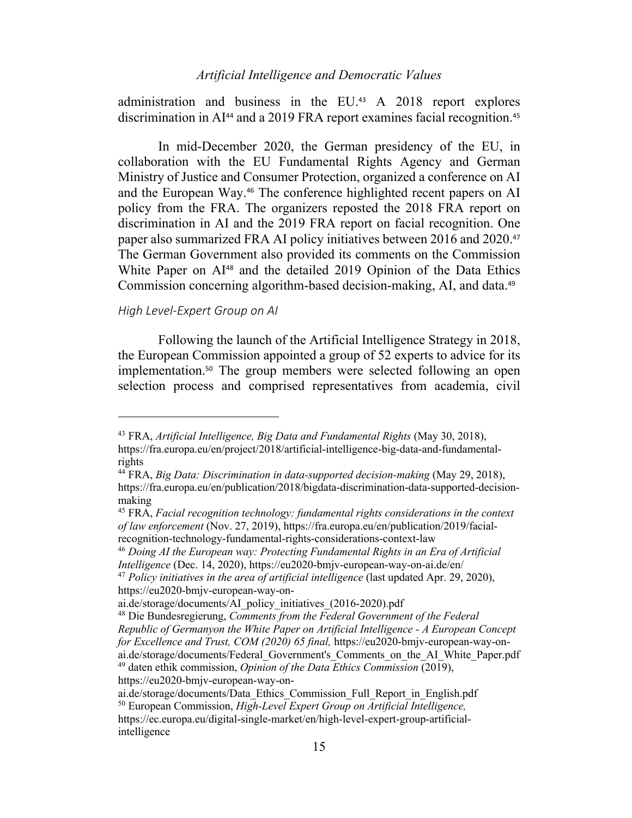administration and business in the EU.<sup>43</sup> A 2018 report explores discrimination in AI<sup>44</sup> and a 2019 FRA report examines facial recognition.<sup>45</sup>

In mid-December 2020, the German presidency of the EU, in collaboration with the EU Fundamental Rights Agency and German Ministry of Justice and Consumer Protection, organized a conference on AI and the European Way.<sup>46</sup> The conference highlighted recent papers on AI policy from the FRA. The organizers reposted the 2018 FRA report on discrimination in AI and the 2019 FRA report on facial recognition. One paper also summarized FRA AI policy initiatives between 2016 and 2020.<sup>47</sup> The German Government also provided its comments on the Commission White Paper on AI<sup>48</sup> and the detailed 2019 Opinion of the Data Ethics Commission concerning algorithm-based decision-making, AI, and data.<sup>49</sup>

#### *High Level-Expert Group on AI*

Following the launch of the Artificial Intelligence Strategy in 2018, the European Commission appointed a group of 52 experts to advice for its implementation.<sup>50</sup> The group members were selected following an open selection process and comprised representatives from academia, civil

<sup>43</sup> FRA, *Artificial Intelligence, Big Data and Fundamental Rights* (May 30, 2018), https://fra.europa.eu/en/project/2018/artificial-intelligence-big-data-and-fundamentalrights

<sup>44</sup> FRA, *Big Data: Discrimination in data-supported decision-making* (May 29, 2018), https://fra.europa.eu/en/publication/2018/bigdata-discrimination-data-supported-decisionmaking

<sup>45</sup> FRA, *Facial recognition technology: fundamental rights considerations in the context of law enforcement* (Nov. 27, 2019), https://fra.europa.eu/en/publication/2019/facialrecognition-technology-fundamental-rights-considerations-context-law

<sup>46</sup> *Doing AI the European way: Protecting Fundamental Rights in an Era of Artificial Intelligence* (Dec. 14, 2020), https://eu2020-bmjv-european-way-on-ai.de/en/

<sup>47</sup> *Policy initiatives in the area of artificial intelligence* (last updated Apr. 29, 2020), https://eu2020-bmjv-european-way-on-

ai.de/storage/documents/AI\_policy\_initiatives\_(2016-2020).pdf

<sup>48</sup> Die Bundesregierung, *Comments from the Federal Government of the Federal Republic of Germanyon the White Paper on Artificial Intelligence - A European Concept for Excellence and Trust, COM (2020) 65 final,* https://eu2020-bmjv-european-way-onai.de/storage/documents/Federal\_Government's\_Comments\_on\_the\_AI\_White\_Paper.pdf <sup>49</sup> daten ethik commission, *Opinion of the Data Ethics Commission* (2019),

https://eu2020-bmjv-european-way-on-

ai.de/storage/documents/Data\_Ethics\_Commission\_Full\_Report\_in\_English.pdf <sup>50</sup> European Commission, *High-Level Expert Group on Artificial Intelligence,* https://ec.europa.eu/digital-single-market/en/high-level-expert-group-artificialintelligence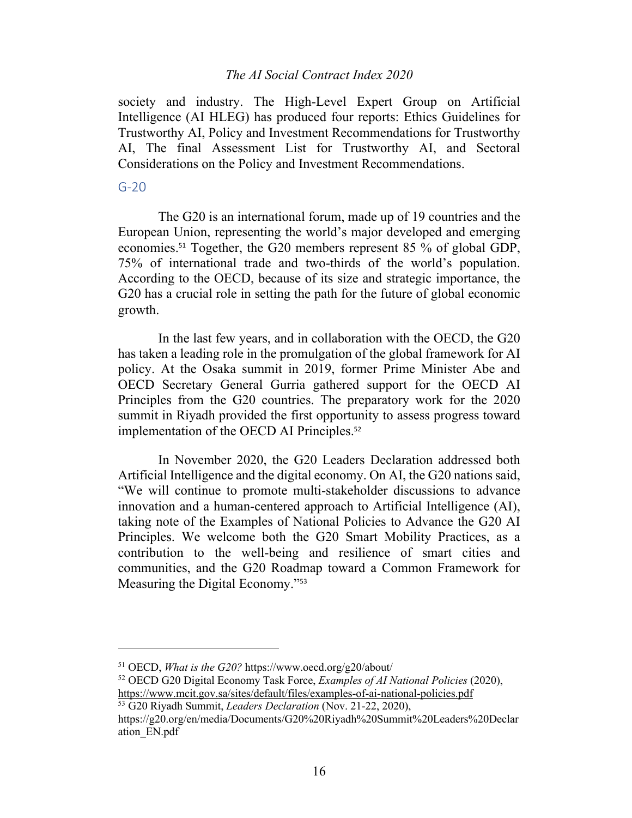society and industry. The High-Level Expert Group on Artificial Intelligence (AI HLEG) has produced four reports: Ethics Guidelines for Trustworthy AI, Policy and Investment Recommendations for Trustworthy AI, The final Assessment List for Trustworthy AI, and Sectoral Considerations on the Policy and Investment Recommendations.

#### G-20

The G20 is an international forum, made up of 19 countries and the European Union, representing the world's major developed and emerging economies.<sup>51</sup> Together, the G20 members represent 85 % of global GDP, 75% of international trade and two-thirds of the world's population. According to the OECD, because of its size and strategic importance, the G20 has a crucial role in setting the path for the future of global economic growth.

In the last few years, and in collaboration with the OECD, the G20 has taken a leading role in the promulgation of the global framework for AI policy. At the Osaka summit in 2019, former Prime Minister Abe and OECD Secretary General Gurria gathered support for the OECD AI Principles from the G20 countries. The preparatory work for the 2020 summit in Riyadh provided the first opportunity to assess progress toward implementation of the OECD AI Principles.<sup>52</sup>

In November 2020, the G20 Leaders Declaration addressed both Artificial Intelligence and the digital economy. On AI, the G20 nations said, "We will continue to promote multi-stakeholder discussions to advance innovation and a human-centered approach to Artificial Intelligence (AI), taking note of the Examples of National Policies to Advance the G20 AI Principles. We welcome both the G20 Smart Mobility Practices, as a contribution to the well-being and resilience of smart cities and communities, and the G20 Roadmap toward a Common Framework for Measuring the Digital Economy."<sup>53</sup>

<sup>51</sup> OECD, *What is the G20?* https://www.oecd.org/g20/about/

<sup>52</sup> OECD G20 Digital Economy Task Force, *Examples of AI National Policies* (2020), https://www.mcit.gov.sa/sites/default/files/examples-of-ai-national-policies.pdf

<sup>53</sup> G20 Riyadh Summit, *Leaders Declaration* (Nov. 21-22, 2020),

https://g20.org/en/media/Documents/G20%20Riyadh%20Summit%20Leaders%20Declar ation\_EN.pdf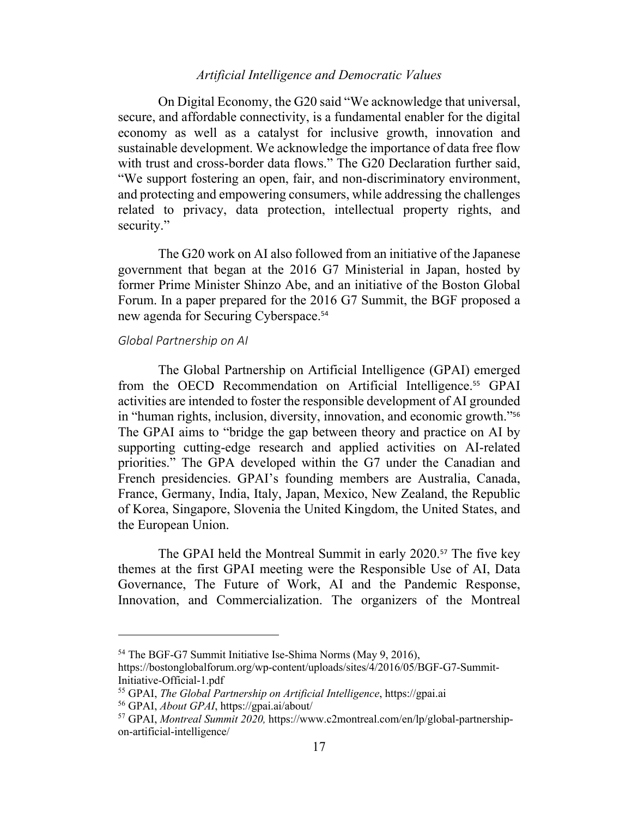On Digital Economy, the G20 said "We acknowledge that universal, secure, and affordable connectivity, is a fundamental enabler for the digital economy as well as a catalyst for inclusive growth, innovation and sustainable development. We acknowledge the importance of data free flow with trust and cross-border data flows." The G20 Declaration further said, "We support fostering an open, fair, and non-discriminatory environment, and protecting and empowering consumers, while addressing the challenges related to privacy, data protection, intellectual property rights, and security."

The G20 work on AI also followed from an initiative of the Japanese government that began at the 2016 G7 Ministerial in Japan, hosted by former Prime Minister Shinzo Abe, and an initiative of the Boston Global Forum. In a paper prepared for the 2016 G7 Summit, the BGF proposed a new agenda for Securing Cyberspace. 54

#### *Global Partnership on AI*

The Global Partnership on Artificial Intelligence (GPAI) emerged from the OECD Recommendation on Artificial Intelligence.<sup>55</sup> GPAI activities are intended to foster the responsible development of AI grounded in "human rights, inclusion, diversity, innovation, and economic growth."<sup>56</sup> The GPAI aims to "bridge the gap between theory and practice on AI by supporting cutting-edge research and applied activities on AI-related priorities." The GPA developed within the G7 under the Canadian and French presidencies. GPAI's founding members are Australia, Canada, France, Germany, India, Italy, Japan, Mexico, New Zealand, the Republic of Korea, Singapore, Slovenia the United Kingdom, the United States, and the European Union.

The GPAI held the Montreal Summit in early 2020.<sup>57</sup> The five key themes at the first GPAI meeting were the Responsible Use of AI, Data Governance, The Future of Work, AI and the Pandemic Response, Innovation, and Commercialization. The organizers of the Montreal

<sup>54</sup> The BGF-G7 Summit Initiative Ise-Shima Norms (May 9, 2016),

https://bostonglobalforum.org/wp-content/uploads/sites/4/2016/05/BGF-G7-Summit-Initiative-Official-1.pdf

<sup>55</sup> GPAI, *The Global Partnership on Artificial Intelligence*, https://gpai.ai

<sup>56</sup> GPAI, *About GPAI*, https://gpai.ai/about/

<sup>57</sup> GPAI, *Montreal Summit 2020,* https://www.c2montreal.com/en/lp/global-partnershipon-artificial-intelligence/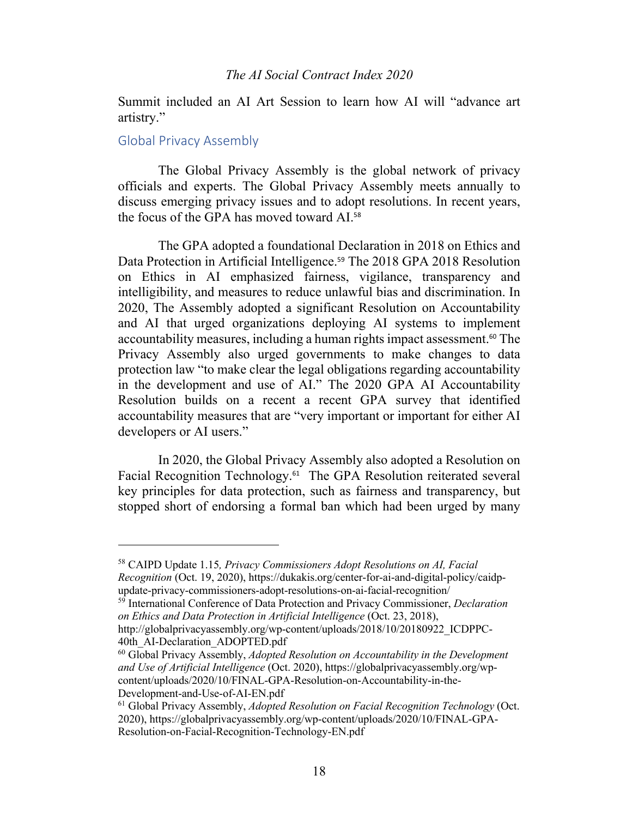Summit included an AI Art Session to learn how AI will "advance art artistry."

### Global Privacy Assembly

The Global Privacy Assembly is the global network of privacy officials and experts. The Global Privacy Assembly meets annually to discuss emerging privacy issues and to adopt resolutions. In recent years, the focus of the GPA has moved toward AI.<sup>58</sup>

The GPA adopted a foundational Declaration in 2018 on Ethics and Data Protection in Artificial Intelligence.<sup>59</sup> The 2018 GPA 2018 Resolution on Ethics in AI emphasized fairness, vigilance, transparency and intelligibility, and measures to reduce unlawful bias and discrimination. In 2020, The Assembly adopted a significant Resolution on Accountability and AI that urged organizations deploying AI systems to implement accountability measures, including a human rights impact assessment.<sup>60</sup> The Privacy Assembly also urged governments to make changes to data protection law "to make clear the legal obligations regarding accountability in the development and use of AI." The 2020 GPA AI Accountability Resolution builds on a recent a recent GPA survey that identified accountability measures that are "very important or important for either AI developers or AI users."

In 2020, the Global Privacy Assembly also adopted a Resolution on Facial Recognition Technology.61 The GPA Resolution reiterated several key principles for data protection, such as fairness and transparency, but stopped short of endorsing a formal ban which had been urged by many

40th AI-Declaration ADOPTED.pdf

<sup>58</sup> CAIPD Update 1.15*, Privacy Commissioners Adopt Resolutions on AI, Facial Recognition* (Oct. 19, 2020), https://dukakis.org/center-for-ai-and-digital-policy/caidpupdate-privacy-commissioners-adopt-resolutions-on-ai-facial-recognition/

<sup>59</sup> International Conference of Data Protection and Privacy Commissioner, *Declaration on Ethics and Data Protection in Artificial Intelligence* (Oct. 23, 2018), http://globalprivacyassembly.org/wp-content/uploads/2018/10/20180922\_ICDPPC-

<sup>60</sup> Global Privacy Assembly, *Adopted Resolution on Accountability in the Development and Use of Artificial Intelligence* (Oct. 2020), https://globalprivacyassembly.org/wpcontent/uploads/2020/10/FINAL-GPA-Resolution-on-Accountability-in-the-Development-and-Use-of-AI-EN.pdf

<sup>61</sup> Global Privacy Assembly, *Adopted Resolution on Facial Recognition Technology* (Oct. 2020), https://globalprivacyassembly.org/wp-content/uploads/2020/10/FINAL-GPA-Resolution-on-Facial-Recognition-Technology-EN.pdf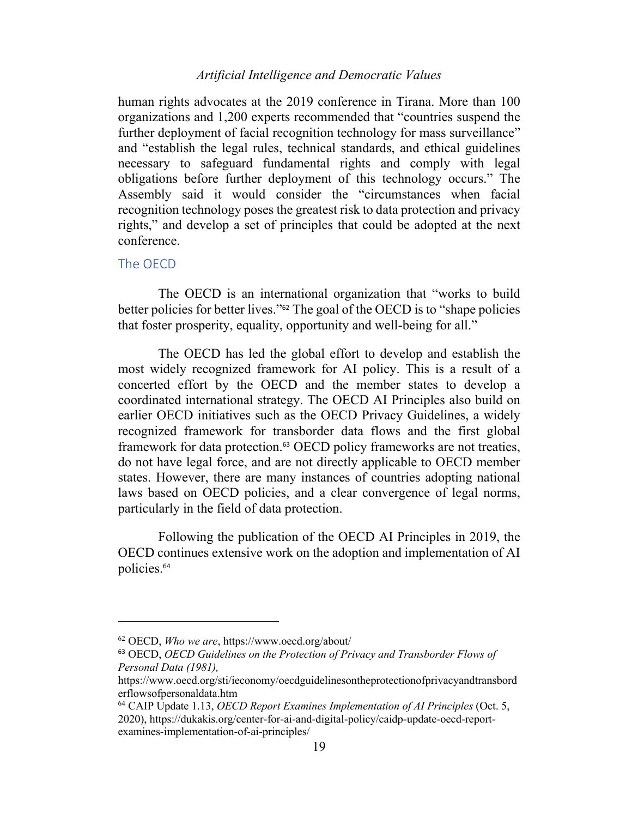human rights advocates at the 2019 conference in Tirana. More than 100 organizations and 1,200 experts recommended that "countries suspend the further deployment of facial recognition technology for mass surveillance" and "establish the legal rules, technical standards, and ethical guidelines necessary to safeguard fundamental rights and comply with legal obligations before further deployment of this technology occurs." The Assembly said it would consider the "circumstances when facial recognition technology poses the greatest risk to data protection and privacy rights," and develop a set of principles that could be adopted at the next conference.

### The OECD

The OECD is an international organization that "works to build better policies for better lives."<sup>62</sup> The goal of the OECD is to "shape policies that foster prosperity, equality, opportunity and well-being for all."

The OECD has led the global effort to develop and establish the most widely recognized framework for AI policy. This is a result of a concerted effort by the OECD and the member states to develop a coordinated international strategy. The OECD AI Principles also build on earlier OECD initiatives such as the OECD Privacy Guidelines, a widely recognized framework for transborder data flows and the first global framework for data protection.<sup>63</sup> OECD policy frameworks are not treaties, do not have legal force, and are not directly applicable to OECD member states. However, there are many instances of countries adopting national laws based on OECD policies, and a clear convergence of legal norms, particularly in the field of data protection.

Following the publication of the OECD AI Principles in 2019, the OECD continues extensive work on the adoption and implementation of AI policies.<sup>64</sup>

<sup>62</sup> OECD, *Who we are*, https://www.oecd.org/about/

<sup>63</sup> OECD, *OECD Guidelines on the Protection of Privacy and Transborder Flows of Personal Data (1981),*

https://www.oecd.org/sti/ieconomy/oecdguidelinesontheprotectionofprivacyandtransbord erflowsofpersonaldata.htm

<sup>64</sup> CAIP Update 1.13, *OECD Report Examines Implementation of AI Principles* (Oct. 5, 2020), https://dukakis.org/center-for-ai-and-digital-policy/caidp-update-oecd-reportexamines-implementation-of-ai-principles/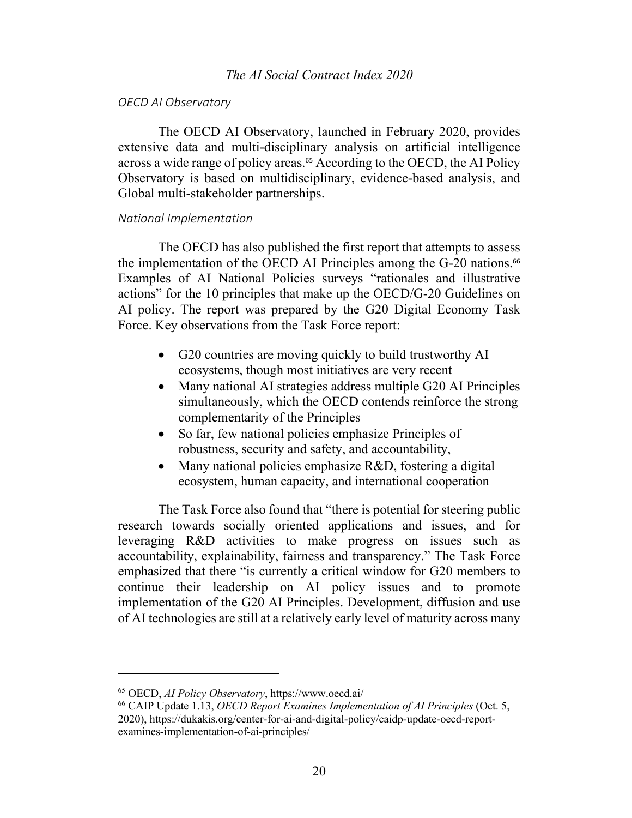#### *OECD AI Observatory*

The OECD AI Observatory, launched in February 2020, provides extensive data and multi-disciplinary analysis on artificial intelligence across a wide range of policy areas. <sup>65</sup> According to the OECD, the AI Policy Observatory is based on multidisciplinary, evidence-based analysis, and Global multi-stakeholder partnerships.

#### *National Implementation*

The OECD has also published the first report that attempts to assess the implementation of the OECD AI Principles among the G-20 nations.<sup>66</sup> Examples of AI National Policies surveys "rationales and illustrative actions" for the 10 principles that make up the OECD/G-20 Guidelines on AI policy. The report was prepared by the G20 Digital Economy Task Force. Key observations from the Task Force report:

- G20 countries are moving quickly to build trustworthy AI ecosystems, though most initiatives are very recent
- Many national AI strategies address multiple G20 AI Principles simultaneously, which the OECD contends reinforce the strong complementarity of the Principles
- So far, few national policies emphasize Principles of robustness, security and safety, and accountability,
- Many national policies emphasize R&D, fostering a digital ecosystem, human capacity, and international cooperation

The Task Force also found that "there is potential for steering public research towards socially oriented applications and issues, and for leveraging R&D activities to make progress on issues such as accountability, explainability, fairness and transparency." The Task Force emphasized that there "is currently a critical window for G20 members to continue their leadership on AI policy issues and to promote implementation of the G20 AI Principles. Development, diffusion and use of AI technologies are still at a relatively early level of maturity across many

<sup>65</sup> OECD, *AI Policy Observatory*, https://www.oecd.ai/

<sup>66</sup> CAIP Update 1.13, *OECD Report Examines Implementation of AI Principles* (Oct. 5, 2020), https://dukakis.org/center-for-ai-and-digital-policy/caidp-update-oecd-reportexamines-implementation-of-ai-principles/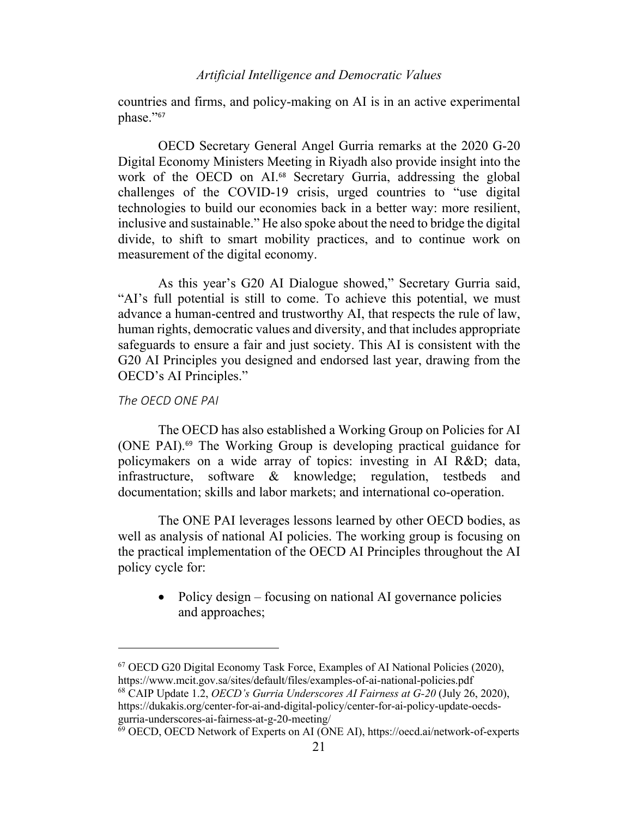countries and firms, and policy-making on AI is in an active experimental phase."<sup>67</sup>

OECD Secretary General Angel Gurria remarks at the 2020 G-20 Digital Economy Ministers Meeting in Riyadh also provide insight into the work of the OECD on AI.<sup>68</sup> Secretary Gurria, addressing the global challenges of the COVID-19 crisis, urged countries to "use digital technologies to build our economies back in a better way: more resilient, inclusive and sustainable." He also spoke about the need to bridge the digital divide, to shift to smart mobility practices, and to continue work on measurement of the digital economy.

As this year's G20 AI Dialogue showed," Secretary Gurria said, "AI's full potential is still to come. To achieve this potential, we must advance a human-centred and trustworthy AI, that respects the rule of law, human rights, democratic values and diversity, and that includes appropriate safeguards to ensure a fair and just society. This AI is consistent with the G20 AI Principles you designed and endorsed last year, drawing from the OECD's AI Principles."

#### *The OECD ONE PAI*

The OECD has also established a Working Group on Policies for AI (ONE PAI).<sup>69</sup> The Working Group is developing practical guidance for policymakers on a wide array of topics: investing in AI R&D; data, infrastructure, software & knowledge; regulation, testbeds and documentation; skills and labor markets; and international co-operation.

The ONE PAI leverages lessons learned by other OECD bodies, as well as analysis of national AI policies. The working group is focusing on the practical implementation of the OECD AI Principles throughout the AI policy cycle for:

• Policy design – focusing on national AI governance policies and approaches;

<sup>68</sup> CAIP Update 1.2, *OECD's Gurria Underscores AI Fairness at G-20* (July 26, 2020), https://dukakis.org/center-for-ai-and-digital-policy/center-for-ai-policy-update-oecdsgurria-underscores-ai-fairness-at-g-20-meeting/

<sup>67</sup> OECD G20 Digital Economy Task Force, Examples of AI National Policies (2020), https://www.mcit.gov.sa/sites/default/files/examples-of-ai-national-policies.pdf

<sup>69</sup> OECD, OECD Network of Experts on AI (ONE AI), https://oecd.ai/network-of-experts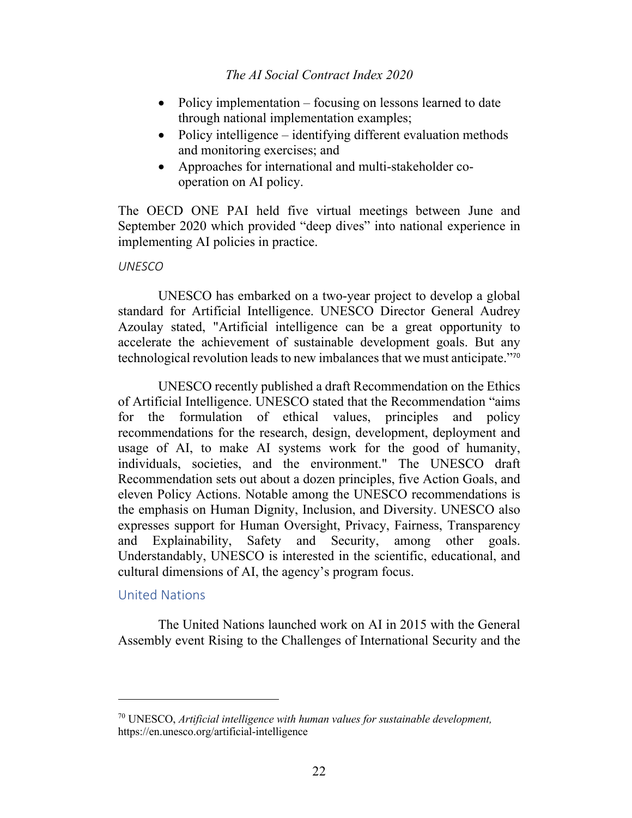- Policy implementation focusing on lessons learned to date through national implementation examples;
- Policy intelligence identifying different evaluation methods and monitoring exercises; and
- Approaches for international and multi-stakeholder cooperation on AI policy.

The OECD ONE PAI held five virtual meetings between June and September 2020 which provided "deep dives" into national experience in implementing AI policies in practice.

# *UNESCO*

UNESCO has embarked on a two-year project to develop a global standard for Artificial Intelligence. UNESCO Director General Audrey Azoulay stated, "Artificial intelligence can be a great opportunity to accelerate the achievement of sustainable development goals. But any technological revolution leads to new imbalances that we must anticipate."<sup>70</sup>

UNESCO recently published a draft Recommendation on the Ethics of Artificial Intelligence. UNESCO stated that the Recommendation "aims for the formulation of ethical values, principles and policy recommendations for the research, design, development, deployment and usage of AI, to make AI systems work for the good of humanity, individuals, societies, and the environment." The UNESCO draft Recommendation sets out about a dozen principles, five Action Goals, and eleven Policy Actions. Notable among the UNESCO recommendations is the emphasis on Human Dignity, Inclusion, and Diversity. UNESCO also expresses support for Human Oversight, Privacy, Fairness, Transparency and Explainability, Safety and Security, among other goals. Understandably, UNESCO is interested in the scientific, educational, and cultural dimensions of AI, the agency's program focus.

# United Nations

The United Nations launched work on AI in 2015 with the General Assembly event Rising to the Challenges of International Security and the

<sup>70</sup> UNESCO, *Artificial intelligence with human values for sustainable development,* https://en.unesco.org/artificial-intelligence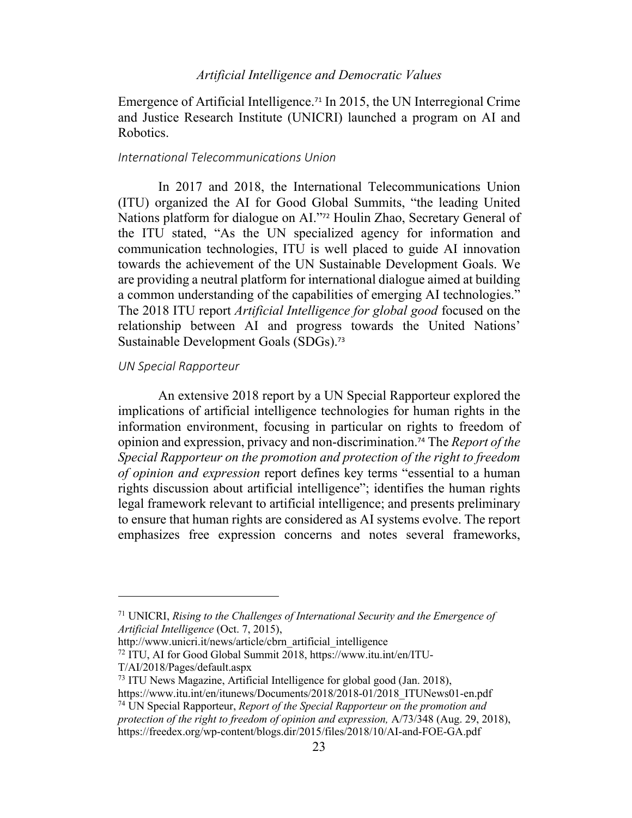Emergence of Artificial Intelligence.<sup>71</sup> In 2015, the UN Interregional Crime and Justice Research Institute (UNICRI) launched a program on AI and Robotics.

#### *International Telecommunications Union*

In 2017 and 2018, the International Telecommunications Union (ITU) organized the AI for Good Global Summits, "the leading United Nations platform for dialogue on AI."<sup>72</sup> Houlin Zhao, Secretary General of the ITU stated, "As the UN specialized agency for information and communication technologies, ITU is well placed to guide AI innovation towards the achievement of the UN Sustainable Development Goals. We are providing a neutral platform for international dialogue aimed at building a common understanding of the capabilities of emerging AI technologies." The 2018 ITU report *Artificial Intelligence for global good* focused on the relationship between AI and progress towards the United Nations' Sustainable Development Goals (SDGs).<sup>73</sup>

#### *UN Special Rapporteur*

An extensive 2018 report by a UN Special Rapporteur explored the implications of artificial intelligence technologies for human rights in the information environment, focusing in particular on rights to freedom of opinion and expression, privacy and non-discrimination.<sup>74</sup> The *Report of the Special Rapporteur on the promotion and protection of the right to freedom of opinion and expression* report defines key terms "essential to a human rights discussion about artificial intelligence"; identifies the human rights legal framework relevant to artificial intelligence; and presents preliminary to ensure that human rights are considered as AI systems evolve. The report emphasizes free expression concerns and notes several frameworks,

<sup>71</sup> UNICRI, *Rising to the Challenges of International Security and the Emergence of Artificial Intelligence* (Oct. 7, 2015),

http://www.unicri.it/news/article/cbrn\_artificial\_intelligence

<sup>72</sup> ITU, AI for Good Global Summit 2018, https://www.itu.int/en/ITU-

T/AI/2018/Pages/default.aspx

<sup>73</sup> ITU News Magazine, Artificial Intelligence for global good (Jan. 2018), https://www.itu.int/en/itunews/Documents/2018/2018-01/2018\_ITUNews01-en.pdf

<sup>74</sup> UN Special Rapporteur, *Report of the Special Rapporteur on the promotion and protection of the right to freedom of opinion and expression,* A/73/348 (Aug. 29, 2018), https://freedex.org/wp-content/blogs.dir/2015/files/2018/10/AI-and-FOE-GA.pdf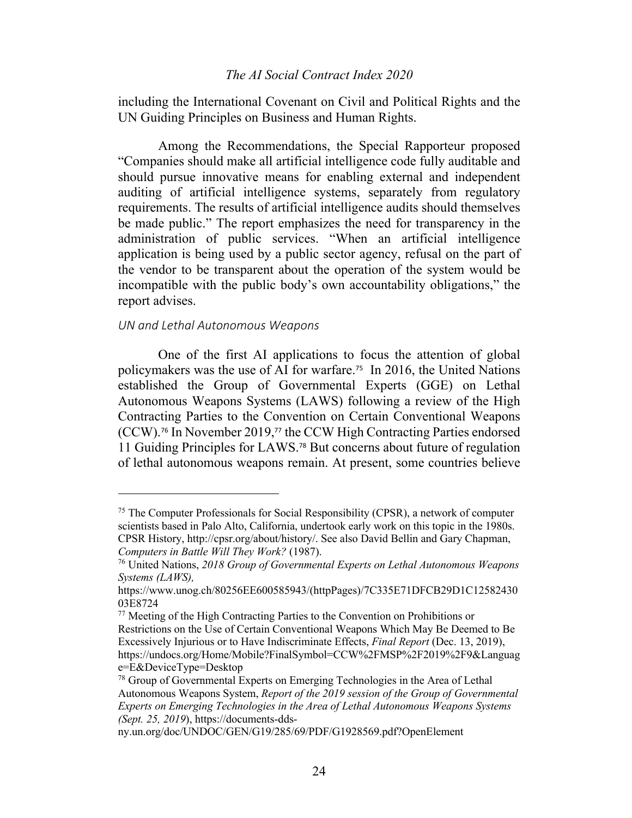including the International Covenant on Civil and Political Rights and the UN Guiding Principles on Business and Human Rights.

Among the Recommendations, the Special Rapporteur proposed "Companies should make all artificial intelligence code fully auditable and should pursue innovative means for enabling external and independent auditing of artificial intelligence systems, separately from regulatory requirements. The results of artificial intelligence audits should themselves be made public." The report emphasizes the need for transparency in the administration of public services. "When an artificial intelligence application is being used by a public sector agency, refusal on the part of the vendor to be transparent about the operation of the system would be incompatible with the public body's own accountability obligations," the report advises.

#### *UN and Lethal Autonomous Weapons*

One of the first AI applications to focus the attention of global policymakers was the use of AI for warfare.75 In 2016, the United Nations established the Group of Governmental Experts (GGE) on Lethal Autonomous Weapons Systems (LAWS) following a review of the High Contracting Parties to the Convention on Certain Conventional Weapons (CCW). <sup>76</sup> In November 2019,<sup>77</sup> the CCW High Contracting Parties endorsed 11 Guiding Principles for LAWS.<sup>78</sup> But concerns about future of regulation of lethal autonomous weapons remain. At present, some countries believe

<sup>75</sup> The Computer Professionals for Social Responsibility (CPSR), a network of computer scientists based in Palo Alto, California, undertook early work on this topic in the 1980s. CPSR History, http://cpsr.org/about/history/. See also David Bellin and Gary Chapman, *Computers in Battle Will They Work?* (1987).

<sup>76</sup> United Nations, *2018 Group of Governmental Experts on Lethal Autonomous Weapons Systems (LAWS),*

https://www.unog.ch/80256EE600585943/(httpPages)/7C335E71DFCB29D1C12582430 03E8724

<sup>77</sup> Meeting of the High Contracting Parties to the Convention on Prohibitions or Restrictions on the Use of Certain Conventional Weapons Which May Be Deemed to Be Excessively Injurious or to Have Indiscriminate Effects, *Final Report* (Dec. 13, 2019), https://undocs.org/Home/Mobile?FinalSymbol=CCW%2FMSP%2F2019%2F9&Languag e=E&DeviceType=Desktop

<sup>&</sup>lt;sup>78</sup> Group of Governmental Experts on Emerging Technologies in the Area of Lethal Autonomous Weapons System, *Report of the 2019 session of the Group of Governmental Experts on Emerging Technologies in the Area of Lethal Autonomous Weapons Systems (Sept. 25, 2019*), https://documents-dds-

ny.un.org/doc/UNDOC/GEN/G19/285/69/PDF/G1928569.pdf?OpenElement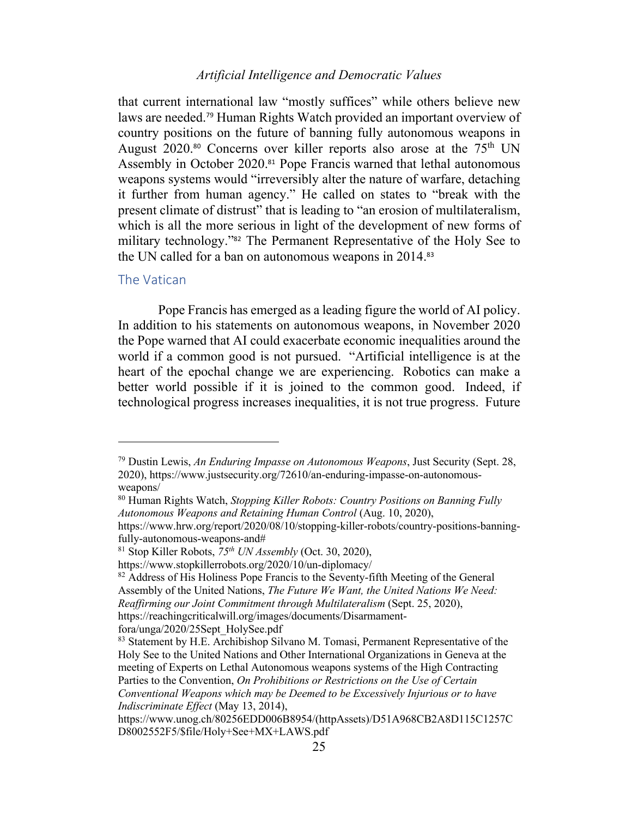that current international law "mostly suffices" while others believe new laws are needed.<sup>79</sup> Human Rights Watch provided an important overview of country positions on the future of banning fully autonomous weapons in August  $2020$ .<sup>80</sup> Concerns over killer reports also arose at the  $75<sup>th</sup>$  UN Assembly in October 2020.<sup>81</sup> Pope Francis warned that lethal autonomous weapons systems would "irreversibly alter the nature of warfare, detaching it further from human agency." He called on states to "break with the present climate of distrust" that is leading to "an erosion of multilateralism, which is all the more serious in light of the development of new forms of military technology."<sup>82</sup> The Permanent Representative of the Holy See to the UN called for a ban on autonomous weapons in 2014.<sup>83</sup>

#### The Vatican

Pope Francis has emerged as a leading figure the world of AI policy. In addition to his statements on autonomous weapons, in November 2020 the Pope warned that AI could exacerbate economic inequalities around the world if a common good is not pursued. "Artificial intelligence is at the heart of the epochal change we are experiencing. Robotics can make a better world possible if it is joined to the common good. Indeed, if technological progress increases inequalities, it is not true progress. Future

<sup>79</sup> Dustin Lewis, *An Enduring Impasse on Autonomous Weapons*, Just Security (Sept. 28, 2020), https://www.justsecurity.org/72610/an-enduring-impasse-on-autonomousweapons/

<sup>80</sup> Human Rights Watch, *Stopping Killer Robots: Country Positions on Banning Fully Autonomous Weapons and Retaining Human Control* (Aug. 10, 2020),

https://www.hrw.org/report/2020/08/10/stopping-killer-robots/country-positions-banningfully-autonomous-weapons-and#

<sup>81</sup> Stop Killer Robots, *75th UN Assembly* (Oct. 30, 2020),

https://www.stopkillerrobots.org/2020/10/un-diplomacy/

<sup>&</sup>lt;sup>82</sup> Address of His Holiness Pope Francis to the Seventy-fifth Meeting of the General Assembly of the United Nations, *The Future We Want, the United Nations We Need: Reaffirming our Joint Commitment through Multilateralism* (Sept. 25, 2020), https://reachingcriticalwill.org/images/documents/Disarmamentfora/unga/2020/25Sept\_HolySee.pdf

<sup>83</sup> Statement by H.E. Archibishop Silvano M. Tomasi, Permanent Representative of the Holy See to the United Nations and Other International Organizations in Geneva at the meeting of Experts on Lethal Autonomous weapons systems of the High Contracting Parties to the Convention, *On Prohibitions or Restrictions on the Use of Certain Conventional Weapons which may be Deemed to be Excessively Injurious or to have Indiscriminate Effect* (May 13, 2014),

https://www.unog.ch/80256EDD006B8954/(httpAssets)/D51A968CB2A8D115C1257C D8002552F5/\$file/Holy+See+MX+LAWS.pdf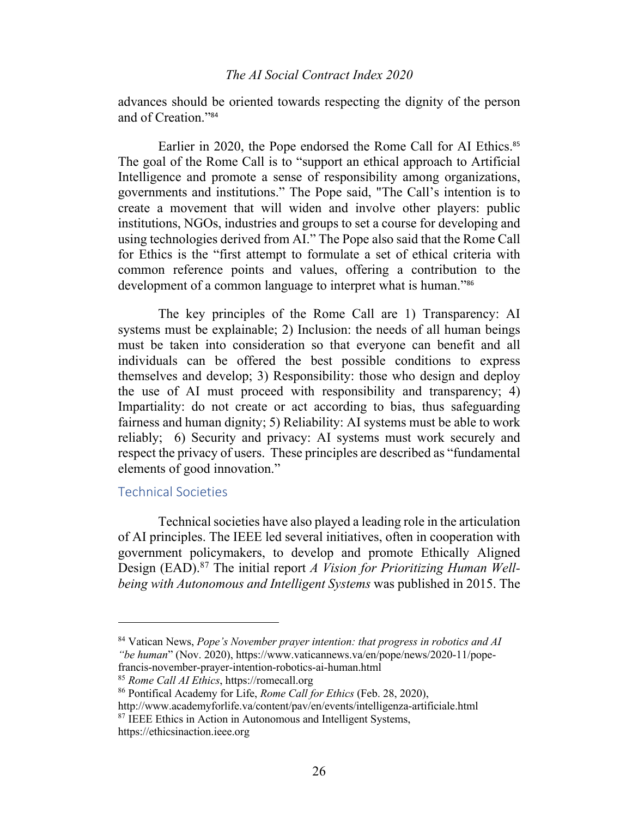advances should be oriented towards respecting the dignity of the person and of Creation."<sup>84</sup>

Earlier in 2020, the Pope endorsed the Rome Call for AI Ethics.<sup>85</sup> The goal of the Rome Call is to "support an ethical approach to Artificial Intelligence and promote a sense of responsibility among organizations, governments and institutions." The Pope said, "The Call's intention is to create a movement that will widen and involve other players: public institutions, NGOs, industries and groups to set a course for developing and using technologies derived from AI." The Pope also said that the Rome Call for Ethics is the "first attempt to formulate a set of ethical criteria with common reference points and values, offering a contribution to the development of a common language to interpret what is human."<sup>86</sup>

The key principles of the Rome Call are 1) Transparency: AI systems must be explainable; 2) Inclusion: the needs of all human beings must be taken into consideration so that everyone can benefit and all individuals can be offered the best possible conditions to express themselves and develop; 3) Responsibility: those who design and deploy the use of AI must proceed with responsibility and transparency; 4) Impartiality: do not create or act according to bias, thus safeguarding fairness and human dignity; 5) Reliability: AI systems must be able to work reliably; 6) Security and privacy: AI systems must work securely and respect the privacy of users. These principles are described as "fundamental elements of good innovation."

# Technical Societies

Technical societies have also played a leading role in the articulation of AI principles. The IEEE led several initiatives, often in cooperation with government policymakers, to develop and promote Ethically Aligned Design (EAD).87 The initial report *A Vision for Prioritizing Human Wellbeing with Autonomous and Intelligent Systems* was published in 2015. The

<sup>84</sup> Vatican News, *Pope's November prayer intention: that progress in robotics and AI "be human*" (Nov. 2020), https://www.vaticannews.va/en/pope/news/2020-11/popefrancis-november-prayer-intention-robotics-ai-human.html

<sup>85</sup> *Rome Call AI Ethics*, https://romecall.org

<sup>86</sup> Pontifical Academy for Life, *Rome Call for Ethics* (Feb. 28, 2020),

http://www.academyforlife.va/content/pav/en/events/intelligenza-artificiale.html

<sup>87</sup> IEEE Ethics in Action in Autonomous and Intelligent Systems, https://ethicsinaction.ieee.org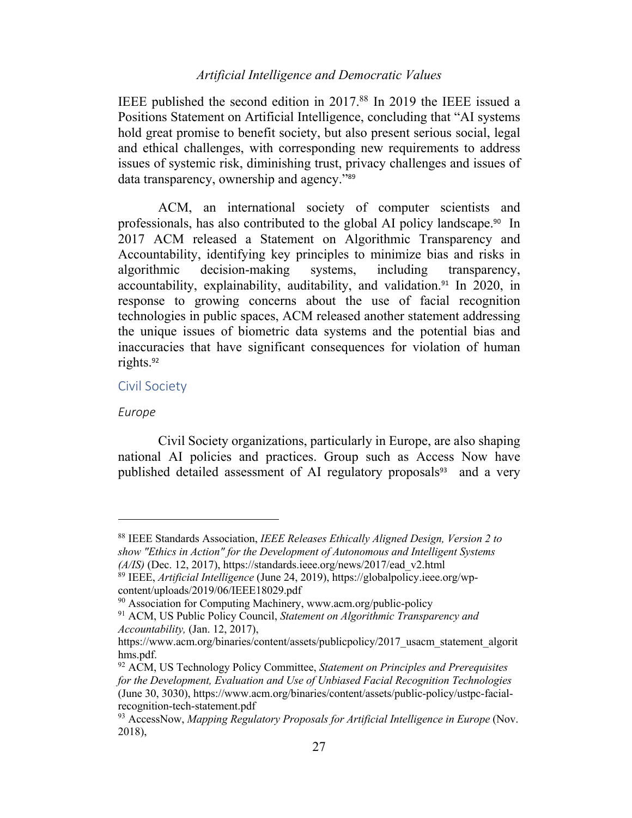IEEE published the second edition in 2017.88 In 2019 the IEEE issued a Positions Statement on Artificial Intelligence, concluding that "AI systems hold great promise to benefit society, but also present serious social, legal and ethical challenges, with corresponding new requirements to address issues of systemic risk, diminishing trust, privacy challenges and issues of data transparency, ownership and agency."<sup>89</sup>

ACM, an international society of computer scientists and professionals, has also contributed to the global AI policy landscape.90 In 2017 ACM released a Statement on Algorithmic Transparency and Accountability, identifying key principles to minimize bias and risks in algorithmic decision-making systems, including transparency, accountability, explainability, auditability, and validation.<sup>91</sup> In 2020, in response to growing concerns about the use of facial recognition technologies in public spaces, ACM released another statement addressing the unique issues of biometric data systems and the potential bias and inaccuracies that have significant consequences for violation of human rights.<sup>92</sup>

### Civil Society

#### *Europe*

Civil Society organizations, particularly in Europe, are also shaping national AI policies and practices. Group such as Access Now have published detailed assessment of AI regulatory proposals<sup>93</sup> and a very

<sup>88</sup> IEEE Standards Association, *IEEE Releases Ethically Aligned Design, Version 2 to show "Ethics in Action" for the Development of Autonomous and Intelligent Systems (A/IS)* (Dec. 12, 2017), https://standards.ieee.org/news/2017/ead\_v2.html

<sup>89</sup> IEEE, *Artificial Intelligence* (June 24, 2019), https://globalpolicy.ieee.org/wpcontent/uploads/2019/06/IEEE18029.pdf

<sup>90</sup> Association for Computing Machinery, www.acm.org/public-policy

<sup>91</sup> ACM, US Public Policy Council, *Statement on Algorithmic Transparency and Accountability,* (Jan. 12, 2017),

https://www.acm.org/binaries/content/assets/publicpolicy/2017 usacm statement algorit hms.pdf.

<sup>92</sup> ACM, US Technology Policy Committee, *Statement on Principles and Prerequisites for the Development, Evaluation and Use of Unbiased Facial Recognition Technologies*  (June 30, 3030), https://www.acm.org/binaries/content/assets/public-policy/ustpc-facialrecognition-tech-statement.pdf

<sup>93</sup> AccessNow, *Mapping Regulatory Proposals for Artificial Intelligence in Europe* (Nov. 2018),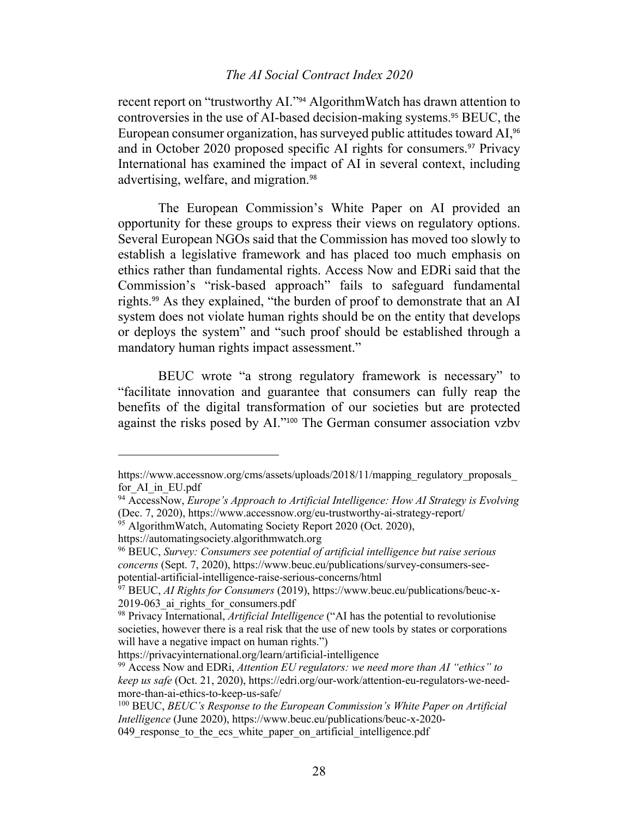recent report on "trustworthy AI."<sup>94</sup> AlgorithmWatch has drawn attention to controversies in the use of AI-based decision-making systems.<sup>95</sup> BEUC, the European consumer organization, has surveyed public attitudes toward AI,<sup>96</sup> and in October 2020 proposed specific AI rights for consumers.<sup>97</sup> Privacy International has examined the impact of AI in several context, including advertising, welfare, and migration.<sup>98</sup>

The European Commission's White Paper on AI provided an opportunity for these groups to express their views on regulatory options. Several European NGOs said that the Commission has moved too slowly to establish a legislative framework and has placed too much emphasis on ethics rather than fundamental rights. Access Now and EDRi said that the Commission's "risk-based approach" fails to safeguard fundamental rights.<sup>99</sup> As they explained, "the burden of proof to demonstrate that an AI system does not violate human rights should be on the entity that develops or deploys the system" and "such proof should be established through a mandatory human rights impact assessment."

BEUC wrote "a strong regulatory framework is necessary" to "facilitate innovation and guarantee that consumers can fully reap the benefits of the digital transformation of our societies but are protected against the risks posed by AI."<sup>100</sup> The German consumer association vzbv

https://www.accessnow.org/cms/assets/uploads/2018/11/mapping\_regulatory\_proposals\_ for\_AI\_in\_EU.pdf

<sup>94</sup> AccessNow, *Europe's Approach to Artificial Intelligence: How AI Strategy is Evolving* (Dec. 7, 2020), https://www.accessnow.org/eu-trustworthy-ai-strategy-report/

<sup>&</sup>lt;sup>95</sup> AlgorithmWatch, Automating Society Report 2020 (Oct. 2020),

https://automatingsociety.algorithmwatch.org

<sup>96</sup> BEUC, *Survey: Consumers see potential of artificial intelligence but raise serious concerns* (Sept. 7, 2020), https://www.beuc.eu/publications/survey-consumers-seepotential-artificial-intelligence-raise-serious-concerns/html

<sup>97</sup> BEUC, *AI Rights for Consumers* (2019), https://www.beuc.eu/publications/beuc-x-2019-063 ai rights for consumers.pdf

<sup>98</sup> Privacy International, *Artificial Intelligence* ("AI has the potential to revolutionise societies, however there is a real risk that the use of new tools by states or corporations will have a negative impact on human rights.")

https://privacyinternational.org/learn/artificial-intelligence

<sup>99</sup> Access Now and EDRi, *Attention EU regulators: we need more than AI "ethics" to keep us safe* (Oct. 21, 2020), https://edri.org/our-work/attention-eu-regulators-we-needmore-than-ai-ethics-to-keep-us-safe/

<sup>100</sup> BEUC, *BEUC's Response to the European Commission's White Paper on Artificial Intelligence* (June 2020), https://www.beuc.eu/publications/beuc-x-2020-

<sup>049</sup> response to the ecs white paper on artificial intelligence.pdf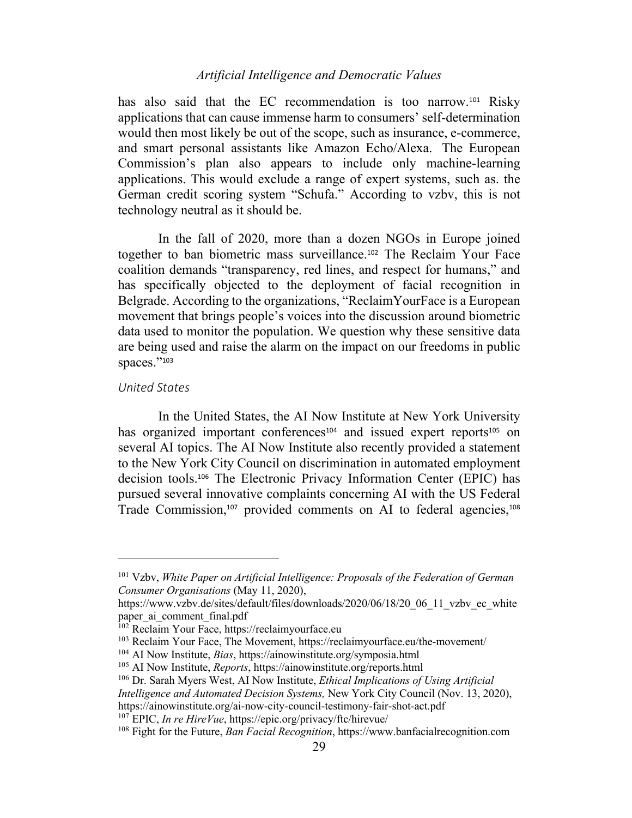has also said that the EC recommendation is too narrow.<sup>101</sup> Risky applications that can cause immense harm to consumers' self-determination would then most likely be out of the scope, such as insurance, e-commerce, and smart personal assistants like Amazon Echo/Alexa. The European Commission's plan also appears to include only machine-learning applications. This would exclude a range of expert systems, such as. the German credit scoring system "Schufa." According to vzbv, this is not technology neutral as it should be.

In the fall of 2020, more than a dozen NGOs in Europe joined together to ban biometric mass surveillance.<sup>102</sup> The Reclaim Your Face coalition demands "transparency, red lines, and respect for humans," and has specifically objected to the deployment of facial recognition in Belgrade. According to the organizations, "ReclaimYourFace is a European movement that brings people's voices into the discussion around biometric data used to monitor the population. We question why these sensitive data are being used and raise the alarm on the impact on our freedoms in public spaces."103

#### *United States*

In the United States, the AI Now Institute at New York University has organized important conferences<sup>104</sup> and issued expert reports<sup>105</sup> on several AI topics. The AI Now Institute also recently provided a statement to the New York City Council on discrimination in automated employment decision tools.<sup>106</sup> The Electronic Privacy Information Center (EPIC) has pursued several innovative complaints concerning AI with the US Federal Trade Commission,<sup>107</sup> provided comments on AI to federal agencies,<sup>108</sup>

<sup>101</sup> Vzbv, *White Paper on Artificial Intelligence: Proposals of the Federation of German Consumer Organisations* (May 11, 2020),

https://www.vzbv.de/sites/default/files/downloads/2020/06/18/20\_06\_11\_vzbv\_ec\_white paper ai comment final.pdf

<sup>102</sup> Reclaim Your Face, https://reclaimyourface.eu

<sup>103</sup> Reclaim Your Face, The Movement, https://reclaimyourface.eu/the-movement/

<sup>104</sup> AI Now Institute, *Bias*, https://ainowinstitute.org/symposia.html

<sup>105</sup> AI Now Institute, *Reports*, https://ainowinstitute.org/reports.html

<sup>106</sup> Dr. Sarah Myers West, AI Now Institute, *Ethical Implications of Using Artificial* 

*Intelligence and Automated Decision Systems,* New York City Council (Nov. 13, 2020), https://ainowinstitute.org/ai-now-city-council-testimony-fair-shot-act.pdf

<sup>107</sup> EPIC, *In re HireVue*, https://epic.org/privacy/ftc/hirevue/

<sup>108</sup> Fight for the Future, *Ban Facial Recognition*, https://www.banfacialrecognition.com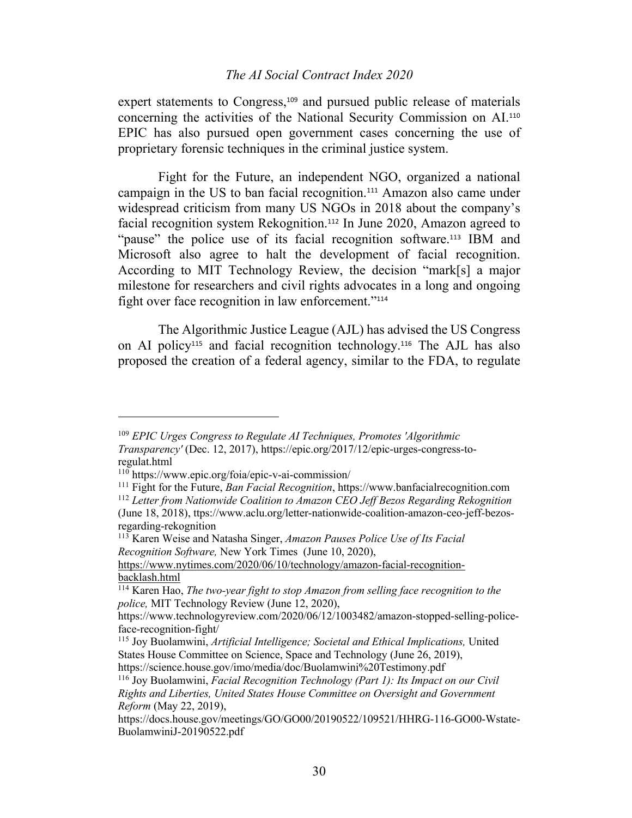expert statements to Congress,<sup>109</sup> and pursued public release of materials concerning the activities of the National Security Commission on AI.<sup>110</sup> EPIC has also pursued open government cases concerning the use of proprietary forensic techniques in the criminal justice system.

Fight for the Future, an independent NGO, organized a national campaign in the US to ban facial recognition.<sup>111</sup> Amazon also came under widespread criticism from many US NGOs in 2018 about the company's facial recognition system Rekognition.<sup>112</sup> In June 2020, Amazon agreed to "pause" the police use of its facial recognition software.<sup>113</sup> IBM and Microsoft also agree to halt the development of facial recognition. According to MIT Technology Review, the decision "mark[s] a major milestone for researchers and civil rights advocates in a long and ongoing fight over face recognition in law enforcement."<sup>114</sup>

The Algorithmic Justice League (AJL) has advised the US Congress on AI policy<sup>115</sup> and facial recognition technology.<sup>116</sup> The AJL has also proposed the creation of a federal agency, similar to the FDA, to regulate

<sup>109</sup> *EPIC Urges Congress to Regulate AI Techniques, Promotes 'Algorithmic Transparency'* (Dec. 12, 2017), https://epic.org/2017/12/epic-urges-congress-toregulat.html

<sup>110</sup> https://www.epic.org/foia/epic-v-ai-commission/

<sup>111</sup> Fight for the Future, *Ban Facial Recognition*, https://www.banfacialrecognition.com <sup>112</sup> *Letter from Nationwide Coalition to Amazon CEO Jeff Bezos Regarding Rekognition* 

<sup>(</sup>June 18, 2018), ttps://www.aclu.org/letter-nationwide-coalition-amazon-ceo-jeff-bezosregarding-rekognition

<sup>113</sup> Karen Weise and Natasha Singer, *Amazon Pauses Police Use of Its Facial Recognition Software,* New York Times (June 10, 2020),

https://www.nytimes.com/2020/06/10/technology/amazon-facial-recognitionbacklash.html

<sup>114</sup> Karen Hao, *The two-year fight to stop Amazon from selling face recognition to the police,* MIT Technology Review (June 12, 2020),

https://www.technologyreview.com/2020/06/12/1003482/amazon-stopped-selling-policeface-recognition-fight/

<sup>115</sup> Joy Buolamwini, *Artificial Intelligence; Societal and Ethical Implications,* United States House Committee on Science, Space and Technology (June 26, 2019), https://science.house.gov/imo/media/doc/Buolamwini%20Testimony.pdf

<sup>116</sup> Joy Buolamwini, *Facial Recognition Technology (Part 1): Its Impact on our Civil* 

*Rights and Liberties, United States House Committee on Oversight and Government Reform* (May 22, 2019),

https://docs.house.gov/meetings/GO/GO00/20190522/109521/HHRG-116-GO00-Wstate-BuolamwiniJ-20190522.pdf